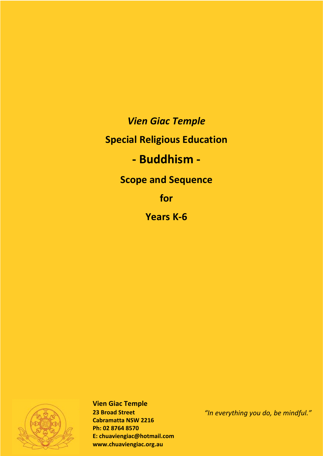*Vien Giac Temple* 

## **Special Religious Education**

# **- Buddhism -**

**Scope and Sequence**

**for**

**Years K-6**



**Vien Giac Temple 23 Broad Street Cabramatta NSW 2216 Ph: 02 8764 8570 E: chuaviengiac@hotmail.com www.chuaviengiac.org.au**

*"In everything you do, be mindful."*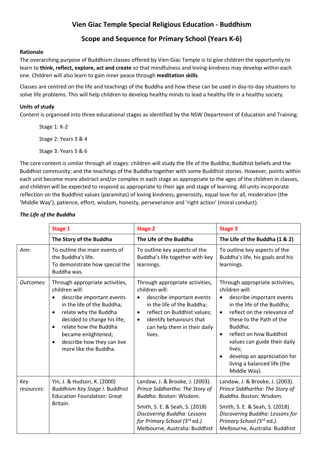### **Vien Giac Temple Special Religious Education - Buddhism**

#### **Scope and Sequence for Primary School (Years K-6)**

#### **Rationale**

The overarching purpose of Buddhism classes offered by Vien Giac Temple is to give children the opportunity to learn to **think, reflect, explore, act and create** so that mindfulness and loving-kindness may develop within each one. Children will also learn to gain inner peace through **meditation skills**.

Classes are centred on the life and teachings of the Buddha and how these can be used in day-to-day situations to solve life problems. This will help children to develop healthy minds to lead a healthy life in a healthy society.

#### **Units of study**

Content is organised into three educational stages as identified by the NSW Department of Education and Training.

Stage 1: K-2 Stage 2: Years 3 & 4 Stage 3: Years 5 & 6

The core content is similar through all stages: children will study the life of the Buddha; Buddhist beliefs and the Buddhist community; and the teachings of the Buddha together with some Buddhist stories. However, points within each unit become more abstract and/or complex in each stage as appropriate to the ages of the children in classes, and children will be expected to respond as appropriate to their age and stage of learning. All units incorporate reflection on the Buddhist values (paramitas) of loving kindness, generosity, equal love for all, moderation (the 'Middle Way'), patience, effort, wisdom, honesty, perseverance and 'right action' (moral conduct).

#### **Stage 1 Stage 2 Stage 2 Stage 3 Stage 3 Stage 3 The Story of the Buddha The Life of the Buddha The Life of the Buddha (1 & 2)** Aim: To outline the main events of the Buddha's life. To demonstrate how special the Buddha was. To outline key aspects of the Buddha's life together with key learnings. To outline key aspects of the Buddha's life, his goals and his learnings. *Outcomes:* Through appropriate activities, children will: • describe important events in the life of the Buddha; • relate why the Buddha decided to change his life; • relate how the Buddha became enlightened; • describe how they can live more like the Buddha. Through appropriate activities, children will: • describe important events in the life of the Buddha; • reflect on Buddhist values; • identify behaviours that can help them in their daily lives. Through appropriate activities, children will: • describe important events in the life of the Buddha; • reflect on the relevance of these to the Path of the Buddha; reflect on how Buddhist values can guide their daily lives; develop an appreciation for living a balanced life (the Middle Way). *Key resources:* Yin, J. & Hudson, K. (2000) *Buddhism Key Stage I.* Buddhist Education Foundation: Great Britain. Landaw, J. & Brooke, J. (2003). *Prince Siddhartha: The Story of Buddha*. Boston: Wisdom. Smith, S. E. & Seah, S. (2018) *Discovering Buddha: Lessons for Primary School (*3rd ed*.)*. Melbourne, Australia: Buddhist Landaw, J. & Brooke, J. (2003). *Prince Siddhartha: The Story of Buddha*. Boston: Wisdom. Smith, S. E. & Seah, S. (2018) *Discovering Buddha: Lessons for Primary School (*3rd ed*.)*. Melbourne, Australia: Buddhist

#### *The Life of the Buddha*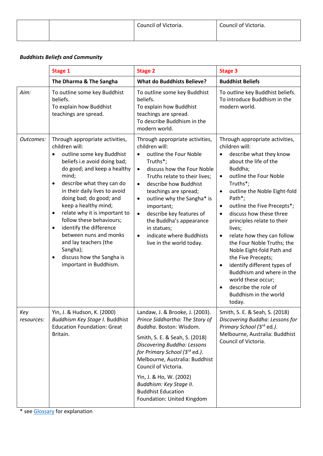|  | Council of Victoria. | Council of Victoria. |
|--|----------------------|----------------------|
|  |                      |                      |

#### *Buddhists Beliefs and Community*

|                   | <b>Stage 1</b>                                                                                                                                                                                                                                                                                                                                                                                                                                                                                                                                         | <b>Stage 2</b>                                                                                                                                                                                                                                                                                                                                                                                                                                      | <b>Stage 3</b>                                                                                                                                                                                                                                                                                                                                                                                                                                                                                                                                                                                                                                            |
|-------------------|--------------------------------------------------------------------------------------------------------------------------------------------------------------------------------------------------------------------------------------------------------------------------------------------------------------------------------------------------------------------------------------------------------------------------------------------------------------------------------------------------------------------------------------------------------|-----------------------------------------------------------------------------------------------------------------------------------------------------------------------------------------------------------------------------------------------------------------------------------------------------------------------------------------------------------------------------------------------------------------------------------------------------|-----------------------------------------------------------------------------------------------------------------------------------------------------------------------------------------------------------------------------------------------------------------------------------------------------------------------------------------------------------------------------------------------------------------------------------------------------------------------------------------------------------------------------------------------------------------------------------------------------------------------------------------------------------|
|                   | The Dharma & The Sangha                                                                                                                                                                                                                                                                                                                                                                                                                                                                                                                                | <b>What do Buddhists Believe?</b>                                                                                                                                                                                                                                                                                                                                                                                                                   | <b>Buddhist Beliefs</b>                                                                                                                                                                                                                                                                                                                                                                                                                                                                                                                                                                                                                                   |
| Aim:              | To outline some key Buddhist<br>beliefs.<br>To explain how Buddhist<br>teachings are spread.                                                                                                                                                                                                                                                                                                                                                                                                                                                           | To outline some key Buddhist<br>beliefs.<br>To explain how Buddhist<br>teachings are spread.<br>To describe Buddhism in the<br>modern world.                                                                                                                                                                                                                                                                                                        | To outline key Buddhist beliefs.<br>To introduce Buddhism in the<br>modern world.                                                                                                                                                                                                                                                                                                                                                                                                                                                                                                                                                                         |
| Outcomes:         | Through appropriate activities,<br>children will:<br>outline some key Buddhist<br>$\bullet$<br>beliefs i.e avoid doing bad;<br>do good; and keep a healthy<br>mind;<br>describe what they can do<br>$\bullet$<br>in their daily lives to avoid<br>doing bad; do good; and<br>keep a healthy mind;<br>relate why it is important to<br>$\bullet$<br>follow these behaviours;<br>identify the difference<br>$\bullet$<br>between nuns and monks<br>and lay teachers (the<br>Sangha);<br>discuss how the Sangha is<br>$\bullet$<br>important in Buddhism. | Through appropriate activities,<br>children will:<br>outline the Four Noble<br>Truths*;<br>discuss how the Four Noble<br>$\bullet$<br>Truths relate to their lives;<br>describe how Buddhist<br>$\bullet$<br>teachings are spread;<br>outline why the Sangha* is<br>$\bullet$<br>important;<br>describe key features of<br>$\bullet$<br>the Buddha's appearance<br>in statues;<br>indicate where Buddhists<br>$\bullet$<br>live in the world today. | Through appropriate activities,<br>children will:<br>describe what they know<br>about the life of the<br>Buddha;<br>outline the Four Noble<br>$\bullet$<br>Truths*;<br>outline the Noble Eight-fold<br>$\bullet$<br>Path*;<br>outline the Five Precepts*;<br>$\bullet$<br>discuss how these three<br>$\bullet$<br>principles relate to their<br>lives;<br>relate how they can follow<br>$\bullet$<br>the Four Noble Truths; the<br>Noble Eight-fold Path and<br>the Five Precepts;<br>identify different types of<br>$\bullet$<br>Buddhism and where in the<br>world these occur;<br>describe the role of<br>$\bullet$<br>Buddhism in the world<br>today. |
| Key<br>resources: | Yin, J. & Hudson, K. (2000)<br>Buddhism Key Stage I. Buddhist<br><b>Education Foundation: Great</b><br>Britain.                                                                                                                                                                                                                                                                                                                                                                                                                                        | Landaw, J. & Brooke, J. (2003).<br>Prince Siddhartha: The Story of<br>Buddha. Boston: Wisdom.<br>Smith, S. E. & Seah, S. (2018)<br>Discovering Buddha: Lessons<br>for Primary School (3rd ed.).<br>Melbourne, Australia: Buddhist<br>Council of Victoria.<br>Yin, J. & Ho, W. (2002)<br>Buddhism: Key Stage II.<br><b>Buddhist Education</b><br>Foundation: United Kingdom                                                                          | Smith, S. E. & Seah, S. (2018)<br>Discovering Buddha: Lessons for<br>Primary School (3rd ed.).<br>Melbourne, Australia: Buddhist<br>Council of Victoria.                                                                                                                                                                                                                                                                                                                                                                                                                                                                                                  |

\* see Glossary for explanation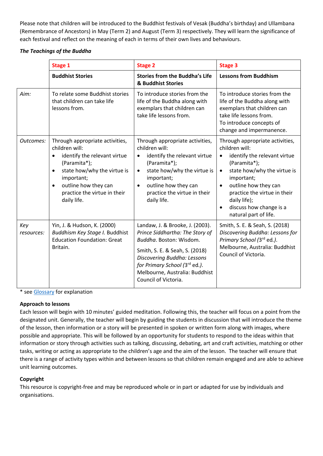Please note that children will be introduced to the Buddhist festivals of Vesak (Buddha's birthday) and Ullambana (Remembrance of Ancestors) in May (Term 2) and August (Term 3) respectively. They will learn the significance of each festival and reflect on the meaning of each in terms of their own lives and behaviours.

#### *The Teachings of the Buddha*

|                   | <b>Stage 1</b>                                                                                                                                                                                                                                               | <b>Stage 2</b>                                                                                                                                                                                                                                               | <b>Stage 3</b>                                                                                                                                                                                                                                                                                                                 |
|-------------------|--------------------------------------------------------------------------------------------------------------------------------------------------------------------------------------------------------------------------------------------------------------|--------------------------------------------------------------------------------------------------------------------------------------------------------------------------------------------------------------------------------------------------------------|--------------------------------------------------------------------------------------------------------------------------------------------------------------------------------------------------------------------------------------------------------------------------------------------------------------------------------|
|                   | <b>Buddhist Stories</b>                                                                                                                                                                                                                                      | <b>Stories from the Buddha's Life</b><br>& Buddhist Stories                                                                                                                                                                                                  | <b>Lessons from Buddhism</b>                                                                                                                                                                                                                                                                                                   |
| Aim:              | To relate some Buddhist stories<br>that children can take life<br>lessons from.                                                                                                                                                                              | To introduce stories from the<br>life of the Buddha along with<br>exemplars that children can<br>take life lessons from.                                                                                                                                     | To introduce stories from the<br>life of the Buddha along with<br>exemplars that children can<br>take life lessons from.<br>To introduce concepts of<br>change and impermanence.                                                                                                                                               |
| Outcomes:         | Through appropriate activities,<br>children will:<br>identify the relevant virtue<br>$\bullet$<br>(Paramita*);<br>state how/why the virtue is<br>$\bullet$<br>important;<br>outline how they can<br>$\bullet$<br>practice the virtue in their<br>daily life. | Through appropriate activities,<br>children will:<br>identify the relevant virtue<br>$\bullet$<br>(Paramita*);<br>state how/why the virtue is<br>$\bullet$<br>important;<br>outline how they can<br>$\bullet$<br>practice the virtue in their<br>daily life. | Through appropriate activities,<br>children will:<br>identify the relevant virtue<br>$\bullet$<br>(Paramita*);<br>state how/why the virtue is<br>$\bullet$<br>important;<br>outline how they can<br>$\bullet$<br>practice the virtue in their<br>daily life);<br>discuss how change is a<br>$\bullet$<br>natural part of life. |
| Key<br>resources: | Yin, J. & Hudson, K. (2000)<br>Buddhism Key Stage I. Buddhist<br><b>Education Foundation: Great</b><br>Britain.                                                                                                                                              | Landaw, J. & Brooke, J. (2003).<br>Prince Siddhartha: The Story of<br>Buddha. Boston: Wisdom.<br>Smith, S. E. & Seah, S. (2018)<br>Discovering Buddha: Lessons<br>for Primary School (3rd ed.).<br>Melbourne, Australia: Buddhist<br>Council of Victoria.    | Smith, S. E. & Seah, S. (2018)<br>Discovering Buddha: Lessons for<br>Primary School (3rd ed.).<br>Melbourne, Australia: Buddhist<br>Council of Victoria.                                                                                                                                                                       |

\* see Glossary for explanation

#### **Approach to lessons**

Each lesson will begin with 10 minutes' guided meditation. Following this, the teacher will focus on a point from the designated unit. Generally, the teacher will begin by guiding the students in discussion that will introduce the theme of the lesson, then information or a story will be presented in spoken or written form along with images, where possible and appropriate. This will be followed by an opportunity for students to respond to the ideas within that information or story through activities such as talking, discussing, debating, art and craft activities, matching or other tasks, writing or acting as appropriate to the children's age and the aim of the lesson. The teacher will ensure that there is a range of activity types within and between lessons so that children remain engaged and are able to achieve unit learning outcomes.

#### **Copyright**

This resource is copyright-free and may be reproduced whole or in part or adapted for use by individuals and organisations.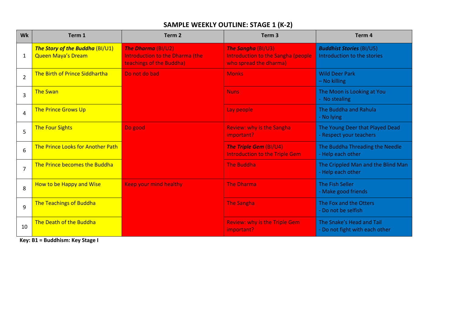## **SAMPLE WEEKLY OUTLINE: STAGE 1 (K-2)**

| <b>Wk</b>      | Term 1                                                       | Term <sub>2</sub>                                                                        | Term <sub>3</sub>                                                                                | Term 4                                                         |
|----------------|--------------------------------------------------------------|------------------------------------------------------------------------------------------|--------------------------------------------------------------------------------------------------|----------------------------------------------------------------|
| 1              | The Story of the Buddha (BI/U1)<br><b>Queen Maya's Dream</b> | <b>The Dharma (BI/U2)</b><br>Introduction to the Dharma (the<br>teachings of the Buddha) | <b>The Sangha (BI/U3)</b><br><b>Introduction to the Sangha (people</b><br>who spread the dharma) | <b>Buddhist Stories (BI/U5)</b><br>Introduction to the stories |
| $\overline{2}$ | The Birth of Prince Siddhartha                               | Do not do bad                                                                            | <b>Monks</b>                                                                                     | <b>Wild Deer Park</b><br>- No killing                          |
| $\overline{3}$ | <b>The Swan</b>                                              |                                                                                          | <b>Nuns</b>                                                                                      | The Moon is Looking at You<br>- No stealing                    |
| 4              | <b>The Prince Grows Up</b>                                   |                                                                                          | Lay people                                                                                       | The Buddha and Rahula<br>- No lying                            |
| 5              | <b>The Four Sights</b>                                       | Do good                                                                                  | <b>Review: why is the Sangha</b><br>important?                                                   | The Young Deer that Played Dead<br>- Respect your teachers     |
| 6              | The Prince Looks for Another Path                            |                                                                                          | <b>The Triple Gem (BI/U4)</b><br><b>Introduction to the Triple Gem</b>                           | The Buddha Threading the Needle<br>- Help each other           |
| $\overline{7}$ | The Prince becomes the Buddha                                |                                                                                          | <b>The Buddha</b>                                                                                | The Crippled Man and the Blind Man<br>- Help each other        |
| 8              | How to be Happy and Wise                                     | <b>Keep your mind healthy</b>                                                            | <b>The Dharma</b>                                                                                | <b>The Fish Seller</b><br>- Make good friends                  |
| 9              | <b>The Teachings of Buddha</b>                               |                                                                                          | <b>The Sangha</b>                                                                                | The Fox and the Otters<br>- Do not be selfish                  |
| 10             | The Death of the Buddha                                      |                                                                                          | <b>Review: why is the Triple Gem</b><br>important?                                               | The Snake's Head and Tail<br>- Do not fight with each other    |

**Key: B1 = Buddhism: Key Stage I**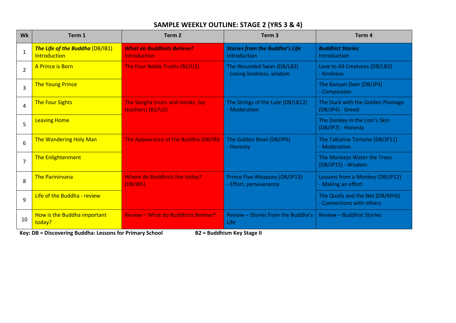## **SAMPLE WEEKLY OUTLINE: STAGE 2 (YRS 3 & 4)**

| Wk             | Term 1                                                 | Term <sub>2</sub>                                        | Term <sub>3</sub>                                       | Term <sub>4</sub>                                            |
|----------------|--------------------------------------------------------|----------------------------------------------------------|---------------------------------------------------------|--------------------------------------------------------------|
| $\mathbf{1}$   | The Life of the Buddha (DB/IB1)<br><b>Introduction</b> | <b>What do Buddhists Believe?</b><br><b>Introduction</b> | <b>Stories from the Buddha's Life</b><br>Introduction   | <b>Buddhist Stories</b><br>Introduction                      |
| $\overline{2}$ | A Prince is Born                                       | The Four Noble Truths (B2/U2)                            | The Wounded Swan (DB/LB2)<br>- Loving kindness, wisdom  | Love to All Creatures (DB/LB3)<br>- Kindness                 |
| 3              | <b>The Young Prince</b>                                |                                                          |                                                         | The Banyan Deer (DB/JP4)<br>- Compassion                     |
| 4              | <b>The Four Sights</b>                                 | The Sangha (nuns and monks, lay<br>teachers) (B2/U2)     | The Strings of the Lute (DB/LB12)<br>- Moderation       | The Duck with the Golden Plumage<br>(DB/JP4) - Greed         |
| 5              | <b>Leaving Home</b>                                    |                                                          |                                                         | The Donkey in the Lion's Skin<br>(DB/JP7) - Honesty          |
| 6              | <b>The Wandering Holy Man</b>                          | The Appearance of the Buddha (DB/IB3                     | The Golden Bowl (DB/JP6)<br>- Honesty                   | The Talkative Tortoise (DB/JP11)<br>- Moderation             |
| $\overline{7}$ | The Enlightenment                                      |                                                          |                                                         | The Monkeys Water the Trees<br>(DB/JP15) - Wisdom            |
| 8              | <b>The Parinirvana</b>                                 | Where do Buddhists live today?<br>(DB/IB5)               | Prince Five Weapons (DB/JP13)<br>- Effort, perseverance | Lessons from a Monkey (DB/JP12)<br>- Making an effort        |
| 9              | Life of the Buddha - review                            |                                                          |                                                         | The Quails and the Net (DB/MV6)<br>- Connections with others |
| 10             | How is the Buddha important<br>today?                  | <b>Review - What do Buddhists Believe?</b>               | Review – Stories from the Buddha's<br>Life              | <b>Review - Buddhist Stories</b>                             |

**Key: DB = Discovering Buddha: Lessons for Primary School B2 = Buddhism Key Stage II**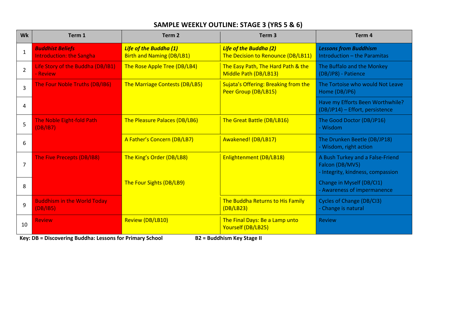## **SAMPLE WEEKLY OUTLINE: STAGE 3 (YRS 5 & 6)**

| <b>Wk</b>     | Term 1                                                     | Term <sub>2</sub>                                                 | Term <sub>3</sub>                                                   | Term <sub>4</sub>                                                                        |
|---------------|------------------------------------------------------------|-------------------------------------------------------------------|---------------------------------------------------------------------|------------------------------------------------------------------------------------------|
| $\mathbf{1}$  | <b>Buddhist Beliefs</b><br><b>Introduction: the Sangha</b> | <b>Life of the Buddha (1)</b><br><b>Birth and Naming (DB/LB1)</b> | <b>Life of the Buddha (2)</b><br>The Decision to Renounce (DB/LB11) | <b>Lessons from Buddhism</b><br>Introduction - the Paramitas                             |
| $\mathcal{P}$ | Life Story of the Buddha (DB/IB1)<br>- Review              | The Rose Apple Tree (DB/LB4)                                      | The Easy Path, The Hard Path & the<br>Middle Path (DB/LB13)         | The Buffalo and the Monkey<br>(DB/JP8) - Patience                                        |
| 3             | The Four Noble Truths (DB/IB6)                             | The Marriage Contests (DB/LB5)                                    | Sujata's Offering: Breaking from the<br>Peer Group (DB/LB15)        | The Tortoise who would Not Leave<br>Home (DB/JP6)                                        |
| 4             |                                                            |                                                                   |                                                                     | Have my Efforts Been Worthwhile?<br>(DB/JP14) - Effort, persistence                      |
| 5             | <b>The Noble Eight-fold Path</b><br>(DB/IB7)               | The Pleasure Palaces (DB/LB6)                                     | The Great Battle (DB/LB16)                                          | The Good Doctor (DB/JP16)<br>- Wisdom                                                    |
| 6             |                                                            | A Father's Concern (DB/LB7)                                       | Awakened! (DB/LB17)                                                 | The Drunken Beetle (DB/JP18)<br>- Wisdom, right action                                   |
| 7             | The Five Precepts (DB/IB8)                                 | The King's Order (DB/LB8)                                         | Enlightenment (DB/LB18)                                             | A Bush Turkey and a False-Friend<br>Falcon (DB/MV5)<br>- Integrity, kindness, compassion |
| 8             |                                                            | The Four Sights (DB/LB9)                                          |                                                                     | Change in Myself (DB/Cl1)<br>- Awareness of impermanence                                 |
| 9             | <b>Buddhism in the World Today</b><br>(DB/IB5)             |                                                                   | The Buddha Returns to His Family<br>(DB/LB23)                       | <b>Cycles of Change (DB/CI3)</b><br>- Change is natural                                  |
| 10            | <b>Review</b>                                              | Review (DB/LB10)                                                  | The Final Days: Be a Lamp unto<br>Yourself (DB/LB25)                | <b>Review</b>                                                                            |

**Key: DB = Discovering Buddha: Lessons for Primary School B2 = Buddhism Key Stage II**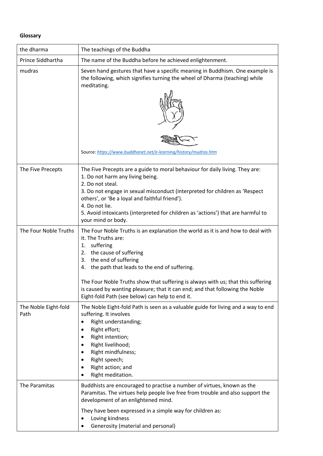#### **Glossary**

| the dharma                   | The teachings of the Buddha                                                                                                                                                                                                                                                                                                                                                                                                                                       |
|------------------------------|-------------------------------------------------------------------------------------------------------------------------------------------------------------------------------------------------------------------------------------------------------------------------------------------------------------------------------------------------------------------------------------------------------------------------------------------------------------------|
| Prince Siddhartha            | The name of the Buddha before he achieved enlightenment.                                                                                                                                                                                                                                                                                                                                                                                                          |
| mudras                       | Seven hand gestures that have a specific meaning in Buddhism. One example is<br>the following, which signifies turning the wheel of Dharma (teaching) while<br>meditating.<br>Source: https://www.buddhanet.net/e-learning/history/mudras.htm                                                                                                                                                                                                                     |
| The Five Precepts            | The Five Precepts are a guide to moral behaviour for daily living. They are:<br>1. Do not harm any living being.<br>2. Do not steal.<br>3. Do not engage in sexual misconduct (interpreted for children as 'Respect<br>others', or 'Be a loyal and faithful friend').<br>4. Do not lie.<br>5. Avoid intoxicants (interpreted for children as 'actions') that are harmful to<br>your mind or body.                                                                 |
| The Four Noble Truths        | The Four Noble Truths is an explanation the world as it is and how to deal with<br>it. The Truths are:<br>suffering<br>1.<br>the cause of suffering<br>2.<br>the end of suffering<br>3.<br>4. the path that leads to the end of suffering.<br>The Four Noble Truths show that suffering is always with us; that this suffering<br>is caused by wanting pleasure; that it can end; and that following the Noble<br>Eight-fold Path (see below) can help to end it. |
| The Noble Eight-fold<br>Path | The Noble Eight-fold Path is seen as a valuable guide for living and a way to end<br>suffering. It involves<br>Right understanding;<br>$\bullet$<br>Right effort;<br>Right intention;<br>Right livelihood;<br>Right mindfulness;<br>Right speech;<br>Right action; and<br>Right meditation.                                                                                                                                                                       |
| The Paramitas                | Buddhists are encouraged to practise a number of virtues, known as the<br>Paramitas. The virtues help people live free from trouble and also support the<br>development of an enlightened mind.<br>They have been expressed in a simple way for children as:<br>Loving kindness<br>Generosity (material and personal)                                                                                                                                             |